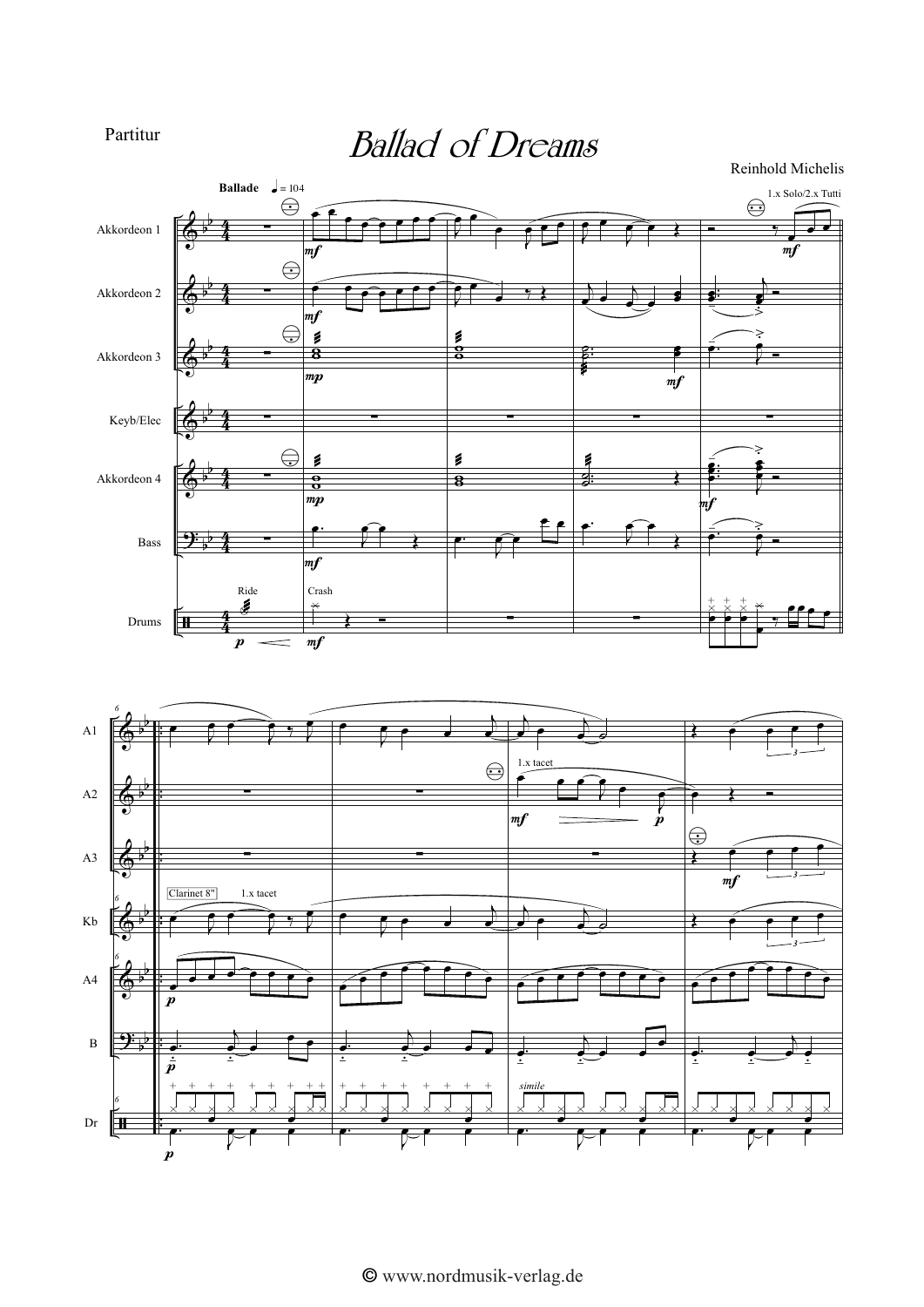

**Ballad of Dreams** 

Reinhold Michelis



© www.nordmusik-verlag.de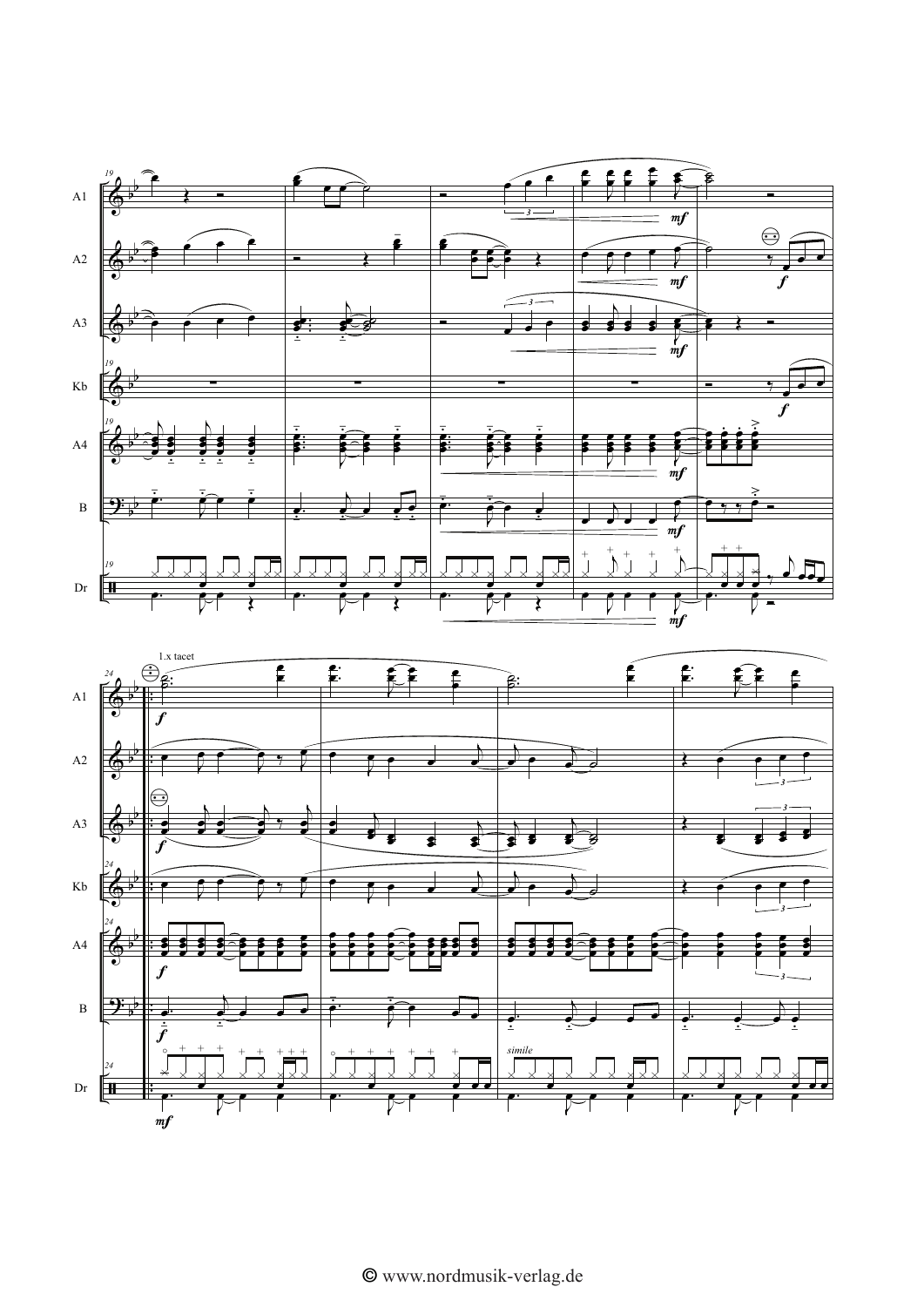

© www.nordmusik-verlag.de